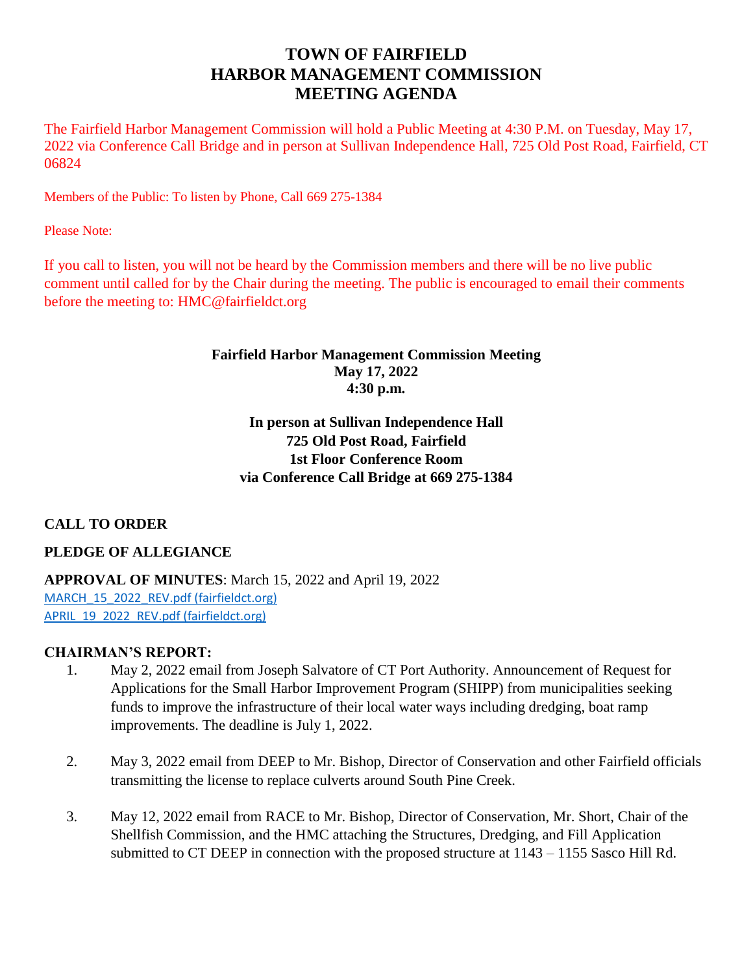# **TOWN OF FAIRFIELD HARBOR MANAGEMENT COMMISSION MEETING AGENDA**

The Fairfield Harbor Management Commission will hold a Public Meeting at 4:30 P.M. on Tuesday, May 17, 2022 via Conference Call Bridge and in person at Sullivan Independence Hall, 725 Old Post Road, Fairfield, CT 06824

Members of the Public: To listen by Phone, Call 669 275-1384

Please Note:

If you call to listen, you will not be heard by the Commission members and there will be no live public comment until called for by the Chair during the meeting. The public is encouraged to email their comments before the meeting to: HMC@fairfieldct.org

# **Fairfield Harbor Management Commission Meeting May 17, 2022 4:30 p.m.**

# **In person at Sullivan Independence Hall 725 Old Post Road, Fairfield 1st Floor Conference Room via Conference Call Bridge at 669 275-1384**

# **CALL TO ORDER**

**PLEDGE OF ALLEGIANCE**

**APPROVAL OF MINUTES**: March 15, 2022 and April 19, 2022 MARCH 15 2022 REV.pdf (fairfieldct.org) APRIL 19 2022 REV.pdf (fairfieldct.org)

# **CHAIRMAN'S REPORT:**

- 1. May 2, 2022 email from Joseph Salvatore of CT Port Authority. Announcement of Request for Applications for the Small Harbor Improvement Program (SHIPP) from municipalities seeking funds to improve the infrastructure of their local water ways including dredging, boat ramp improvements. The deadline is July 1, 2022.
- 2. May 3, 2022 email from DEEP to Mr. Bishop, Director of Conservation and other Fairfield officials transmitting the license to replace culverts around South Pine Creek.
- 3. May 12, 2022 email from RACE to Mr. Bishop, Director of Conservation, Mr. Short, Chair of the Shellfish Commission, and the HMC attaching the Structures, Dredging, and Fill Application submitted to CT DEEP in connection with the proposed structure at 1143 – 1155 Sasco Hill Rd.